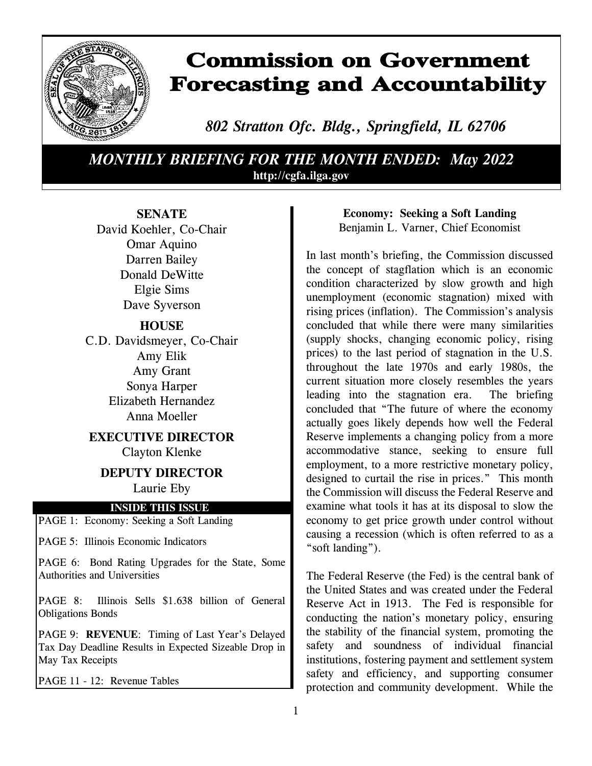

# **Commission on Government Forecasting and Accountability**

*802 Stratton Ofc. Bldg., Springfield, IL 62706*

# *MONTHLY BRIEFING FOR THE MONTH ENDED: May 2022* **http://cgfa.ilga.gov**

#### **SENATE**

David Koehler, Co-Chair Omar Aquino Darren Bailey Donald DeWitte Elgie Sims Dave Syverson

# **HOUSE**

C.D. Davidsmeyer, Co-Chair Amy Elik Amy Grant Sonya Harper Elizabeth Hernandez Anna Moeller

## **EXECUTIVE DIRECTOR** Clayton Klenke

## **DEPUTY DIRECTOR** Laurie Eby

#### **INSIDE THIS ISSUE**

PAGE 1: Economy: Seeking a Soft Landing

PAGE 5: Illinois Economic Indicators

PAGE 6: Bond Rating Upgrades for the State, Some Authorities and Universities

PAGE 8: Illinois Sells \$1.638 billion of General Obligations Bonds

PAGE 9: **REVENUE**: Timing of Last Year's Delayed Tax Day Deadline Results in Expected Sizeable Drop in May Tax Receipts

PAGE 11 - 12: Revenue Tables

#### **Economy: Seeking a Soft Landing** Benjamin L. Varner, Chief Economist

In last month's briefing, the Commission discussed the concept of stagflation which is an economic condition characterized by slow growth and high unemployment (economic stagnation) mixed with rising prices (inflation). The Commission's analysis concluded that while there were many similarities (supply shocks, changing economic policy, rising prices) to the last period of stagnation in the U.S. throughout the late 1970s and early 1980s, the current situation more closely resembles the years leading into the stagnation era. The briefing concluded that "The future of where the economy actually goes likely depends how well the Federal Reserve implements a changing policy from a more accommodative stance, seeking to ensure full employment, to a more restrictive monetary policy, designed to curtail the rise in prices." This month the Commission will discuss the Federal Reserve and examine what tools it has at its disposal to slow the economy to get price growth under control without causing a recession (which is often referred to as a "soft landing").

The Federal Reserve (the Fed) is the central bank of the United States and was created under the Federal Reserve Act in 1913. The Fed is responsible for conducting the nation's monetary policy, ensuring the stability of the financial system, promoting the safety and soundness of individual financial institutions, fostering payment and settlement system safety and efficiency, and supporting consumer protection and community development. While the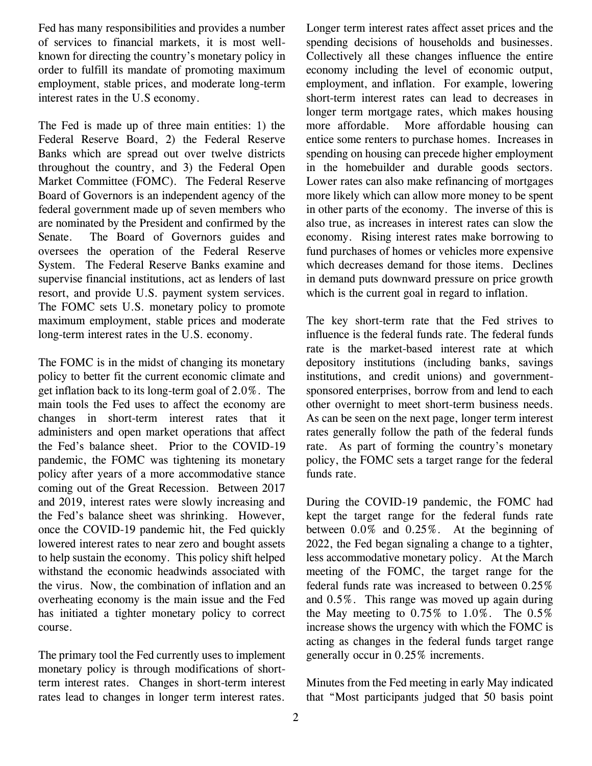Fed has many responsibilities and provides a number of services to financial markets, it is most wellknown for directing the country's monetary policy in order to fulfill its mandate of promoting maximum employment, stable prices, and moderate long-term interest rates in the U.S economy.

The Fed is made up of three main entities: 1) the Federal Reserve Board, 2) the Federal Reserve Banks which are spread out over twelve districts throughout the country, and 3) the Federal Open Market Committee (FOMC). The Federal Reserve Board of Governors is an independent agency of the federal government made up of seven members who are nominated by the President and confirmed by the Senate. The Board of Governors guides and oversees the operation of the Federal Reserve System. The Federal Reserve Banks examine and supervise financial institutions, act as lenders of last resort, and provide U.S. payment system services. The FOMC sets U.S. monetary policy to promote maximum employment, stable prices and moderate long-term interest rates in the U.S. economy.

The FOMC is in the midst of changing its monetary policy to better fit the current economic climate and get inflation back to its long-term goal of 2.0%. The main tools the Fed uses to affect the economy are changes in short-term interest rates that it administers and open market operations that affect the Fed's balance sheet. Prior to the COVID-19 pandemic, the FOMC was tightening its monetary policy after years of a more accommodative stance coming out of the Great Recession. Between 2017 and 2019, interest rates were slowly increasing and the Fed's balance sheet was shrinking. However, once the COVID-19 pandemic hit, the Fed quickly lowered interest rates to near zero and bought assets to help sustain the economy. This policy shift helped withstand the economic headwinds associated with the virus. Now, the combination of inflation and an overheating economy is the main issue and the Fed has initiated a tighter monetary policy to correct course.

The primary tool the Fed currently uses to implement monetary policy is through modifications of shortterm interest rates. Changes in short-term interest rates lead to changes in longer term interest rates.

Longer term interest rates affect asset prices and the spending decisions of households and businesses. Collectively all these changes influence the entire economy including the level of economic output, employment, and inflation. For example, lowering short-term interest rates can lead to decreases in longer term mortgage rates, which makes housing more affordable. More affordable housing can entice some renters to purchase homes. Increases in spending on housing can precede higher employment in the homebuilder and durable goods sectors. Lower rates can also make refinancing of mortgages more likely which can allow more money to be spent in other parts of the economy. The inverse of this is also true, as increases in interest rates can slow the economy. Rising interest rates make borrowing to fund purchases of homes or vehicles more expensive which decreases demand for those items. Declines in demand puts downward pressure on price growth which is the current goal in regard to inflation.

The key short-term rate that the Fed strives to influence is the federal funds rate. The federal funds rate is the market-based interest rate at which depository institutions (including banks, savings institutions, and credit unions) and governmentsponsored enterprises, borrow from and lend to each other overnight to meet short-term business needs. As can be seen on the next page, longer term interest rates generally follow the path of the federal funds rate. As part of forming the country's monetary policy, the FOMC sets a target range for the federal funds rate.

During the COVID-19 pandemic, the FOMC had kept the target range for the federal funds rate between 0.0% and 0.25%. At the beginning of 2022, the Fed began signaling a change to a tighter, less accommodative monetary policy. At the March meeting of the FOMC, the target range for the federal funds rate was increased to between 0.25% and 0.5%. This range was moved up again during the May meeting to  $0.75\%$  to  $1.0\%$ . The  $0.5\%$ increase shows the urgency with which the FOMC is acting as changes in the federal funds target range generally occur in 0.25% increments.

Minutes from the Fed meeting in early May indicated that "Most participants judged that 50 basis point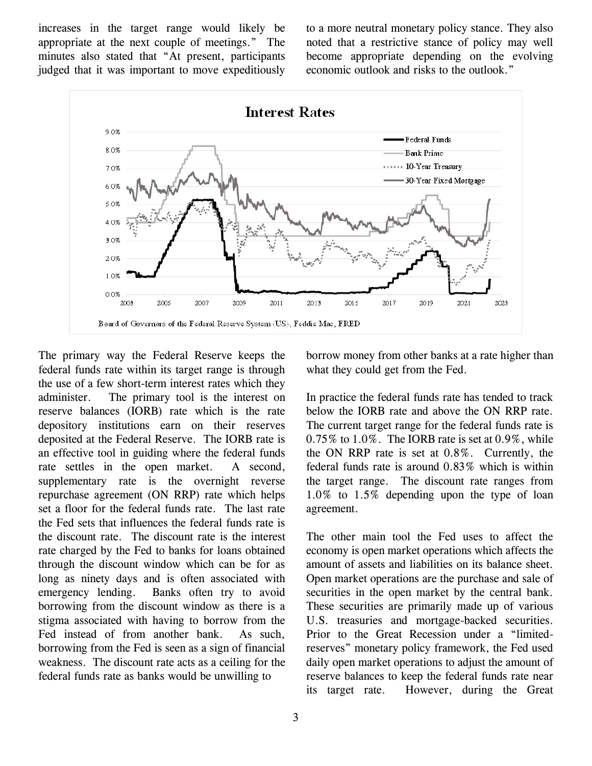increases in the target range would likely be appropriate at the next couple of meetings." The minutes also stated that "At present, participants judged that it was important to move expeditiously to a more neutral monetary policy stance. They also noted that a restrictive stance of policy may well become appropriate depending on the evolving economic outlook and risks to the outlook."



The primary way the Federal Reserve keeps the federal funds rate within its target range is through the use of a few short-term interest rates which they administer. The primary tool is the interest on reserve balances (IORB) rate which is the rate depository institutions earn on their reserves deposited at the Federal Reserve. The IORB rate is an effective tool in guiding where the federal funds rate settles in the open market. A second, supplementary rate is the overnight reverse repurchase agreement (ON RRP) rate which helps set a floor for the federal funds rate. The last rate the Fed sets that influences the federal funds rate is the discount rate. The discount rate is the interest rate charged by the Fed to banks for loans obtained through the discount window which can be for as long as ninety days and is often associated with emergency lending. Banks often try to avoid borrowing from the discount window as there is a stigma associated with having to borrow from the Fed instead of from another bank. As such, borrowing from the Fed is seen as a sign of financial weakness. The discount rate acts as a ceiling for the federal funds rate as banks would be unwilling to

borrow money from other banks at a rate higher than what they could get from the Fed.

In practice the federal funds rate has tended to track below the IORB rate and above the ON RRP rate. The current target range for the federal funds rate is 0.75% to 1.0%. The IORB rate is set at 0.9%, while the ON RRP rate is set at 0.8%. Currently, the federal funds rate is around 0.83% which is within the target range. The discount rate ranges from 1.0% to 1.5% depending upon the type of loan agreement.

The other main tool the Fed uses to affect the economy is open market operations which affects the amount of assets and liabilities on its balance sheet. Open market operations are the purchase and sale of securities in the open market by the central bank. These securities are primarily made up of various U.S. treasuries and mortgage-backed securities. Prior to the Great Recession under a "limitedreserves" monetary policy framework, the Fed used daily open market operations to adjust the amount of reserve balances to keep the federal funds rate near its target rate. However, during the Great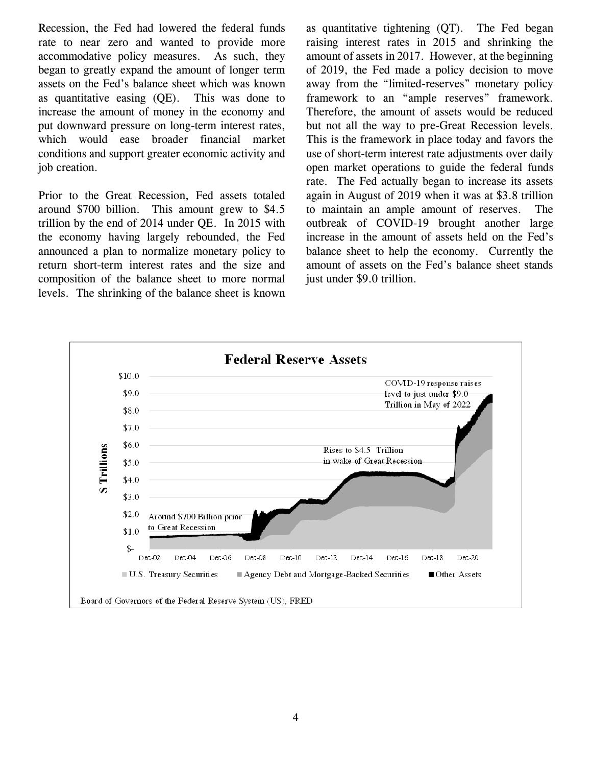Recession, the Fed had lowered the federal funds rate to near zero and wanted to provide more accommodative policy measures. As such, they began to greatly expand the amount of longer term assets on the Fed's balance sheet which was known as quantitative easing (QE). This was done to increase the amount of money in the economy and put downward pressure on long-term interest rates, which would ease broader financial market conditions and support greater economic activity and job creation.

Prior to the Great Recession, Fed assets totaled around \$700 billion. This amount grew to \$4.5 trillion by the end of 2014 under QE. In 2015 with the economy having largely rebounded, the Fed announced a plan to normalize monetary policy to return short-term interest rates and the size and composition of the balance sheet to more normal levels. The shrinking of the balance sheet is known as quantitative tightening (QT). The Fed began raising interest rates in 2015 and shrinking the amount of assets in 2017. However, at the beginning of 2019, the Fed made a policy decision to move away from the "limited-reserves" monetary policy framework to an "ample reserves" framework. Therefore, the amount of assets would be reduced but not all the way to pre-Great Recession levels. This is the framework in place today and favors the use of short-term interest rate adjustments over daily open market operations to guide the federal funds rate. The Fed actually began to increase its assets again in August of 2019 when it was at \$3.8 trillion to maintain an ample amount of reserves. The outbreak of COVID-19 brought another large increase in the amount of assets held on the Fed's balance sheet to help the economy. Currently the amount of assets on the Fed's balance sheet stands just under \$9.0 trillion.

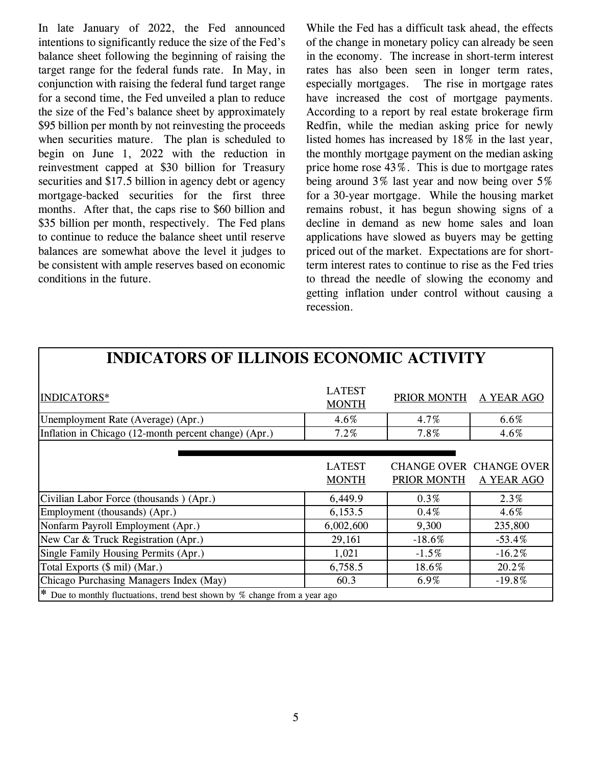In late January of 2022, the Fed announced intentions to significantly reduce the size of the Fed's balance sheet following the beginning of raising the target range for the federal funds rate. In May, in conjunction with raising the federal fund target range for a second time, the Fed unveiled a plan to reduce the size of the Fed's balance sheet by approximately \$95 billion per month by not reinvesting the proceeds when securities mature. The plan is scheduled to begin on June 1, 2022 with the reduction in reinvestment capped at \$30 billion for Treasury securities and \$17.5 billion in agency debt or agency mortgage-backed securities for the first three months. After that, the caps rise to \$60 billion and \$35 billion per month, respectively. The Fed plans to continue to reduce the balance sheet until reserve balances are somewhat above the level it judges to be consistent with ample reserves based on economic conditions in the future.

While the Fed has a difficult task ahead, the effects of the change in monetary policy can already be seen in the economy. The increase in short-term interest rates has also been seen in longer term rates, especially mortgages. The rise in mortgage rates have increased the cost of mortgage payments. According to a report by real estate brokerage firm Redfin, while the median asking price for newly listed homes has increased by 18% in the last year, the monthly mortgage payment on the median asking price home rose 43%. This is due to mortgage rates being around 3% last year and now being over 5% for a 30-year mortgage. While the housing market remains robust, it has begun showing signs of a decline in demand as new home sales and loan applications have slowed as buyers may be getting priced out of the market. Expectations are for shortterm interest rates to continue to rise as the Fed tries to thread the needle of slowing the economy and getting inflation under control without causing a recession.

| <b>INDICATORS OF ILLINOIS ECONOMIC ACTIVITY</b>                                        |                               |                    |                         |
|----------------------------------------------------------------------------------------|-------------------------------|--------------------|-------------------------|
| INDICATORS*                                                                            | <b>LATEST</b><br><b>MONTH</b> | <b>PRIOR MONTH</b> | A YEAR AGO              |
| Unemployment Rate (Average) (Apr.)                                                     | 4.6%                          | 4.7%               | 6.6%                    |
| Inflation in Chicago (12-month percent change) (Apr.)                                  | 7.2%                          | 7.8%               | 4.6%                    |
|                                                                                        |                               |                    |                         |
|                                                                                        | <b>LATEST</b>                 |                    | CHANGE OVER CHANGE OVER |
|                                                                                        | <b>MONTH</b>                  | <b>PRIOR MONTH</b> | A YEAR AGO              |
| Civilian Labor Force (thousands) (Apr.)                                                | 6,449.9                       | $0.3\%$            | 2.3%                    |
| Employment (thousands) (Apr.)                                                          | 6,153.5                       | $0.4\%$            | 4.6%                    |
| Nonfarm Payroll Employment (Apr.)                                                      | 6,002,600                     | 9,300              | 235,800                 |
| New Car & Truck Registration (Apr.)                                                    | 29,161                        | $-18.6\%$          | $-53.4%$                |
| Single Family Housing Permits (Apr.)                                                   | 1,021                         | $-1.5\%$           | $-16.2%$                |
| Total Exports (\$ mil) (Mar.)                                                          | 6,758.5                       | 18.6%              | 20.2%                   |
| Chicago Purchasing Managers Index (May)                                                | 60.3                          | 6.9%               | $-19.8%$                |
| <sup>*</sup> Due to monthly fluctuations, trend best shown by % change from a year ago |                               |                    |                         |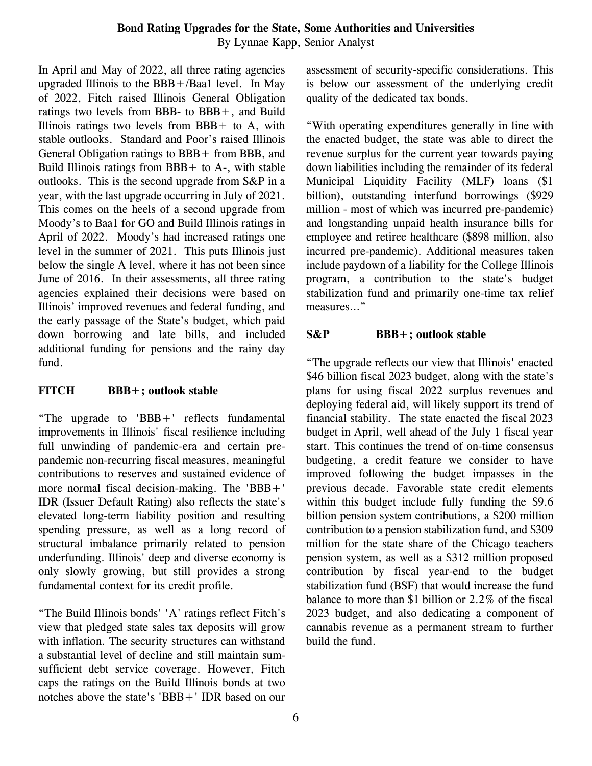By Lynnae Kapp, Senior Analyst

In April and May of 2022, all three rating agencies upgraded Illinois to the BBB+/Baa1 level. In May of 2022, Fitch raised Illinois General Obligation ratings two levels from BBB- to BBB+, and Build Illinois ratings two levels from  $BBB +$  to A, with stable outlooks. Standard and Poor's raised Illinois General Obligation ratings to BBB+ from BBB, and Build Illinois ratings from  $BBB +$  to A-, with stable outlooks. This is the second upgrade from S&P in a year, with the last upgrade occurring in July of 2021. This comes on the heels of a second upgrade from Moody's to Baa1 for GO and Build Illinois ratings in April of 2022. Moody's had increased ratings one level in the summer of 2021. This puts Illinois just below the single A level, where it has not been since June of 2016. In their assessments, all three rating agencies explained their decisions were based on Illinois' improved revenues and federal funding, and the early passage of the State's budget, which paid down borrowing and late bills, and included additional funding for pensions and the rainy day fund.

# **FITCH BBB+; outlook stable**

"The upgrade to 'BBB+' reflects fundamental improvements in Illinois' fiscal resilience including full unwinding of pandemic-era and certain prepandemic non-recurring fiscal measures, meaningful contributions to reserves and sustained evidence of more normal fiscal decision-making. The 'BBB+' IDR (Issuer Default Rating) also reflects the state's elevated long-term liability position and resulting spending pressure, as well as a long record of structural imbalance primarily related to pension underfunding. Illinois' deep and diverse economy is only slowly growing, but still provides a strong fundamental context for its credit profile.

"The Build Illinois bonds' 'A' ratings reflect Fitch's view that pledged state sales tax deposits will grow with inflation. The security structures can withstand a substantial level of decline and still maintain sumsufficient debt service coverage. However, Fitch caps the ratings on the Build Illinois bonds at two notches above the state's 'BBB+' IDR based on our assessment of security-specific considerations. This is below our assessment of the underlying credit quality of the dedicated tax bonds.

"With operating expenditures generally in line with the enacted budget, the state was able to direct the revenue surplus for the current year towards paying down liabilities including the remainder of its federal Municipal Liquidity Facility (MLF) loans (\$1 billion), outstanding interfund borrowings (\$929 million - most of which was incurred pre-pandemic) and longstanding unpaid health insurance bills for employee and retiree healthcare (\$898 million, also incurred pre-pandemic). Additional measures taken include paydown of a liability for the College Illinois program, a contribution to the state's budget stabilization fund and primarily one-time tax relief measures…"

#### **S&P BBB+; outlook stable**

"The upgrade reflects our view that Illinois' enacted \$46 billion fiscal 2023 budget, along with the state's plans for using fiscal 2022 surplus revenues and deploying federal aid, will likely support its trend of financial stability. The state enacted the fiscal 2023 budget in April, well ahead of the July 1 fiscal year start. This continues the trend of on-time consensus budgeting, a credit feature we consider to have improved following the budget impasses in the previous decade. Favorable state credit elements within this budget include fully funding the \$9.6 billion pension system contributions, a \$200 million contribution to a pension stabilization fund, and \$309 million for the state share of the Chicago teachers pension system, as well as a \$312 million proposed contribution by fiscal year-end to the budget stabilization fund (BSF) that would increase the fund balance to more than \$1 billion or 2.2% of the fiscal 2023 budget, and also dedicating a component of cannabis revenue as a permanent stream to further build the fund.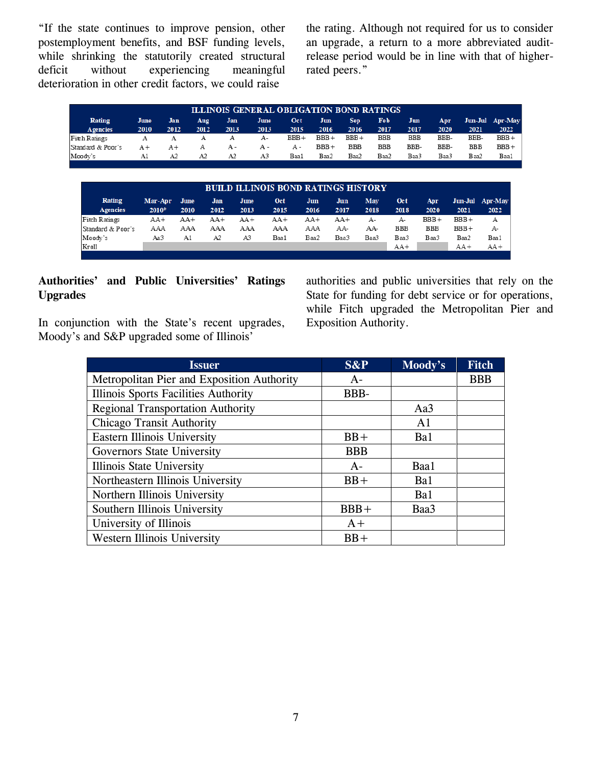"If the state continues to improve pension, other postemployment benefits, and BSF funding levels, while shrinking the statutorily created structural deficit without experiencing meaningful deterioration in other credit factors, we could raise

the rating. Although not required for us to consider an upgrade, a return to a more abbreviated auditrelease period would be in line with that of higherrated peers."

| <b>ILLINOIS GENERAL OBLIGATION BOND RATINGS</b> |      |      |      |      |             |         |         |            |            |            |      |            |                 |
|-------------------------------------------------|------|------|------|------|-------------|---------|---------|------------|------------|------------|------|------------|-----------------|
| Rating                                          | June | Jan  | Aug  | Jan  | <b>June</b> | Oct     | Jun     | <b>Sep</b> | Feb        | Jun        | ADT  |            | Jun-Jul Apr-May |
| <b>Agencies</b>                                 | 2010 | 2012 | 2012 | 2013 | 2013        | 2015    | 2016    | 2016       | 2017       | 2017       | 2020 | 2021       | 2022            |
| Fitch Ratings                                   |      |      |      |      | A-          | $BBB +$ | $BBB +$ | $BBB +$    | BBB        | <b>BBB</b> | BBB- | BBB-       | $BBB +$         |
| Standard & Poor's                               | A+   |      |      | А -  | А -         | А -     | $BBB +$ | <b>BBB</b> | <b>BBB</b> | BBB-       | BBB- | <b>BBB</b> | $BBB +$         |
| Moody's                                         | A1   | A2   | A2   | A2   | A3          | Baa 1   | Baa2    | Baa2       | Baa2       | Baa3       | Baa3 | Baa2       | Baa1            |

| Mar-Apr | June  | Jan   |              |             |             |             |             |             |              |         |                         |
|---------|-------|-------|--------------|-------------|-------------|-------------|-------------|-------------|--------------|---------|-------------------------|
| $2010*$ | 2010  | 2012  | June<br>2013 | Oct<br>2015 | Jun<br>2016 | Jun<br>2017 | May<br>2018 | Oct<br>2018 | Apr.<br>2020 | 2021    | Jun-Jul Apr-May<br>2022 |
| AA+     | $AA+$ | $AA+$ | $AA+$        | $AA+$       | $AA+$       | $AA+$       | $A-$        | A-          | $BBB +$      | $BBB +$ | А                       |
| AAA     | AAA   | AAA   | AAA          | AAA         | AAA         | AA-         | AA-         | <b>BBB</b>  | <b>BBB</b>   | $BBB +$ | A-                      |
| Aa3     | A1    | A2    | A3           | Baa1        | Baa2        | Baa3        | Baa3        | Baa3        | Baa3         | Baa2    | Baa1                    |
|         |       |       |              |             |             |             |             | $AA+$       |              | $AA+$   | $AA+$                   |
|         |       |       |              |             |             |             |             |             |              |         |                         |

#### **Authorities' and Public Universities' Ratings Upgrades**

In conjunction with the State's recent upgrades, Moody's and S&P upgraded some of Illinois'

authorities and public universities that rely on the State for funding for debt service or for operations, while Fitch upgraded the Metropolitan Pier and Exposition Authority.

| <b>Issuer</b>                              | S&P        | Moody's        | <b>Fitch</b> |
|--------------------------------------------|------------|----------------|--------------|
| Metropolitan Pier and Exposition Authority | $A-$       |                | <b>BBB</b>   |
| Illinois Sports Facilities Authority       | BBB-       |                |              |
| <b>Regional Transportation Authority</b>   |            | Aa3            |              |
| <b>Chicago Transit Authority</b>           |            | A <sub>1</sub> |              |
| <b>Eastern Illinois University</b>         | $BB+$      | Ba1            |              |
| Governors State University                 | <b>BBB</b> |                |              |
| Illinois State University                  | $A-$       | Baa1           |              |
| Northeastern Illinois University           | $BB+$      | Ba1            |              |
| Northern Illinois University               |            | Ba1            |              |
| Southern Illinois University               | $BBB+$     | Baa3           |              |
| University of Illinois                     | $A+$       |                |              |
| <b>Western Illinois University</b>         | $BB+$      |                |              |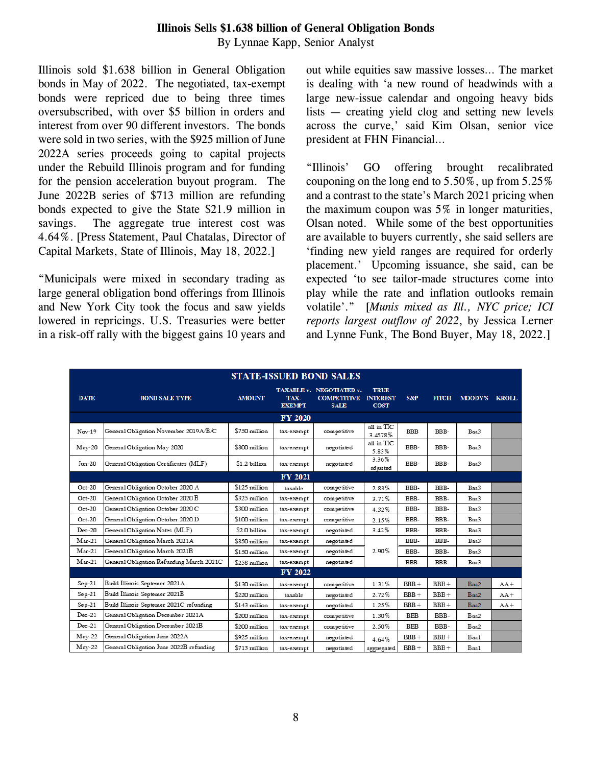# **Illinois Sells \$1.638 billion of General Obligation Bonds**

By Lynnae Kapp, Senior Analyst

Illinois sold \$1.638 billion in General Obligation bonds in May of 2022. The negotiated, tax-exempt bonds were repriced due to being three times oversubscribed, with over \$5 billion in orders and interest from over 90 different investors. The bonds were sold in two series, with the \$925 million of June 2022A series proceeds going to capital projects under the Rebuild Illinois program and for funding for the pension acceleration buyout program. The June 2022B series of \$713 million are refunding bonds expected to give the State \$21.9 million in savings. The aggregate true interest cost was 4.64%. [Press Statement, Paul Chatalas, Director of Capital Markets, State of Illinois, May 18, 2022.]

"Municipals were mixed in secondary trading as large general obligation bond offerings from Illinois and New York City took the focus and saw yields lowered in repricings. U.S. Treasuries were better in a risk-off rally with the biggest gains 10 years and out while equities saw massive losses… The market is dealing with 'a new round of headwinds with a large new-issue calendar and ongoing heavy bids lists — creating yield clog and setting new levels across the curve,' said Kim Olsan, senior vice president at FHN Financial…

"Illinois' GO offering brought recalibrated couponing on the long end to 5.50%, up from 5.25% and a contrast to the state's March 2021 pricing when the maximum coupon was 5% in longer maturities, Olsan noted. While some of the best opportunities are available to buyers currently, she said sellers are 'finding new yield ranges are required for orderly placement.' Upcoming issuance, she said, can be expected 'to see tailor-made structures come into play while the rate and inflation outlooks remain volatile'." [*Munis mixed as Ill., NYC price; ICI reports largest outflow of 2022*, by Jessica Lerner and Lynne Funk, The Bond Buyer, May 18, 2022.]

| <b>STATE-ISSUED BOND SALES</b> |                                          |               |                       |                                                               |                                               |            |              |                |              |  |
|--------------------------------|------------------------------------------|---------------|-----------------------|---------------------------------------------------------------|-----------------------------------------------|------------|--------------|----------------|--------------|--|
| <b>DATE</b>                    | <b>BOND SALE TYPE</b>                    | <b>AMOUNT</b> | TAX-<br><b>EXEMPT</b> | TAXABLE v. NEGOTIATED v.<br><b>COMPETITIVE</b><br><b>SALE</b> | <b>TRUE</b><br><b>INTEREST</b><br><b>COST</b> | S&P        | <b>FITCH</b> | <b>MOODY'S</b> | <b>KROLL</b> |  |
|                                |                                          |               | FY 2020               |                                                               |                                               |            |              |                |              |  |
| $Nov-19$                       | General Obligation November 2019A/B/C    | \$750 million | tax-exempt            | competitive                                                   | all in TIC<br>3.4578%                         | <b>BBB</b> | BBB-         | Baa3           |              |  |
| $M$ ay-20                      | General Obligation May 2020              | \$800 million | tax-exempt            | negotiated                                                    | all in TIC<br>5.83%                           | BBB-       | BBB-         | Baa3           |              |  |
| $Jun-20$                       | General Obligation Certificates (MLF)    | \$1.2 billion | tax-exempt            | negotiated                                                    | 3.36%<br>adjusted                             | BBB-       | BBB-         | Baa3           |              |  |
| FY 2021                        |                                          |               |                       |                                                               |                                               |            |              |                |              |  |
| $Oct-20$                       | General Obligation October 2020 A        | \$125 million | taxable               | competitive                                                   | 2.83%                                         | BBB-       | BBB-         | Baa3           |              |  |
| $Oct-20$                       | General Obligation October 2020 B        | \$325 million | tax-exempt            | competitive                                                   | 3.71%                                         | BBB-       | BBB-         | Baa3           |              |  |
| $Oct-20$                       | General Obligation October 2020 C        | \$300 million | tax-exempt            | competitive                                                   | 4.32%                                         | BBB-       | BBB-         | Baa3           |              |  |
| $Oct-20$                       | General Obligation October 2020 D        | \$100 million | tax-exempt            | competitive                                                   | 2.15%                                         | BBB-       | BBB-         | Baa3           |              |  |
| $Dec-20$                       | General Obligation Notes (MLF)           | \$2.0 billion | tax-exempt            | negotiated                                                    | 3.42%                                         | BBB-       | BBB-         | Baa3           |              |  |
| $Mar-21$                       | General Obligation March 2021A           | \$850 million | tax-exempt            | negotiated                                                    |                                               | BBB-       | BBB-         | Baa3           |              |  |
| $Mar-21$                       | General Obligation March 2021B           | \$150 million | tax-exempt            | negotiated                                                    | 2.90%                                         | BBB-       | BBB-         | Baa3           |              |  |
| $Mar-21$                       | General Obligation Refunding March 2021C | \$258 million | tax-exempt            | negotiated                                                    |                                               | BBB-       | BBB-         | Baa3           |              |  |
|                                |                                          |               | FY 2022               |                                                               |                                               |            |              |                |              |  |
| $Sep-21$                       | Build Illinois Septemer 2021A            | \$130 million | tax-exempt            | competitive                                                   | 1.31%                                         | $BBB +$    | $BBB +$      | Baa2           | $AA+$        |  |
| $Sep-21$                       | Build Illinois Septemer 2021B            | \$220 million | taxable               | negotiated                                                    | 2.72%                                         | $BBB +$    | $BBB +$      | Baa2           | $AA+$        |  |
| $Sep-21$                       | Build Illinois Septemer 2021C refunding  | \$143 million | tax-exempt            | negotiated                                                    | 1.25%                                         | $BBB +$    | $BBB +$      | Baa2           | $AA+$        |  |
| $Dec-21$                       | General Obligation December 2021A        | \$200 million | tax-exempt            | competitive                                                   | 1.30%                                         | <b>BBB</b> | BBB-         | Baa2           |              |  |
| $Dec-21$                       | General Obligation December 2021B        | \$200 million | tax-exempt            | competitive                                                   | 2.50%                                         | <b>BBB</b> | BBB-         | Baa2           |              |  |
| $May-22$                       | General Obligation June 2022A            | \$925 million | tax-exempt            | negotiated                                                    | 4.64%                                         | $BBB +$    | $BBB +$      | Baa1           |              |  |
| $M$ ay-22                      | General Obligation June 2022B refunding  | \$713 million | tax-exempt            | negotiated                                                    | aggregated                                    | $BBB +$    | $BBB +$      | Baa1           |              |  |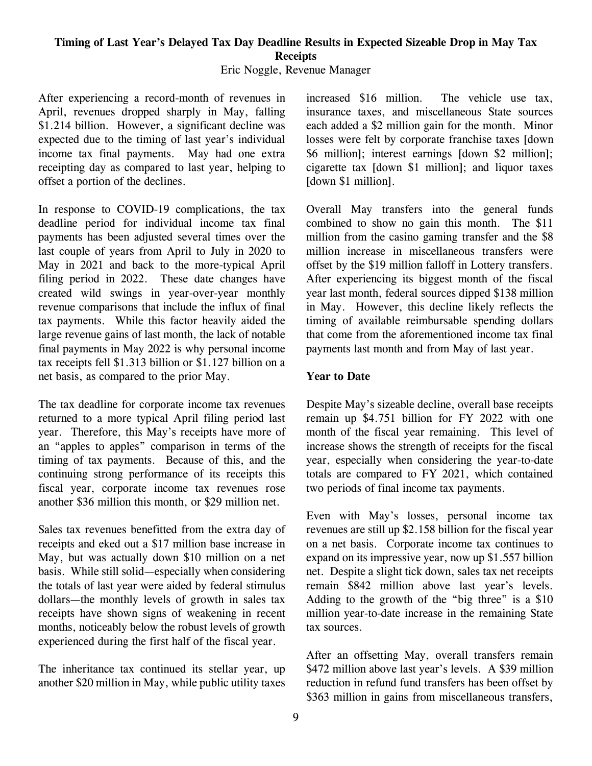# **Timing of Last Year's Delayed Tax Day Deadline Results in Expected Sizeable Drop in May Tax Receipts**

Eric Noggle, Revenue Manager

After experiencing a record-month of revenues in April, revenues dropped sharply in May, falling \$1.214 billion. However, a significant decline was expected due to the timing of last year's individual income tax final payments. May had one extra receipting day as compared to last year, helping to offset a portion of the declines.

In response to COVID-19 complications, the tax deadline period for individual income tax final payments has been adjusted several times over the last couple of years from April to July in 2020 to May in 2021 and back to the more-typical April filing period in 2022. These date changes have created wild swings in year-over-year monthly revenue comparisons that include the influx of final tax payments. While this factor heavily aided the large revenue gains of last month, the lack of notable final payments in May 2022 is why personal income tax receipts fell \$1.313 billion or \$1.127 billion on a net basis, as compared to the prior May.

The tax deadline for corporate income tax revenues returned to a more typical April filing period last year. Therefore, this May's receipts have more of an "apples to apples" comparison in terms of the timing of tax payments. Because of this, and the continuing strong performance of its receipts this fiscal year, corporate income tax revenues rose another \$36 million this month, or \$29 million net.

Sales tax revenues benefitted from the extra day of receipts and eked out a \$17 million base increase in May, but was actually down \$10 million on a net basis. While still solid—especially when considering the totals of last year were aided by federal stimulus dollars—the monthly levels of growth in sales tax receipts have shown signs of weakening in recent months, noticeably below the robust levels of growth experienced during the first half of the fiscal year.

The inheritance tax continued its stellar year, up another \$20 million in May, while public utility taxes

increased \$16 million. The vehicle use tax, insurance taxes, and miscellaneous State sources each added a \$2 million gain for the month. Minor losses were felt by corporate franchise taxes [down \$6 million]; interest earnings [down \$2 million]; cigarette tax [down \$1 million]; and liquor taxes [down \$1 million].

Overall May transfers into the general funds combined to show no gain this month. The \$11 million from the casino gaming transfer and the \$8 million increase in miscellaneous transfers were offset by the \$19 million falloff in Lottery transfers. After experiencing its biggest month of the fiscal year last month, federal sources dipped \$138 million in May. However, this decline likely reflects the timing of available reimbursable spending dollars that come from the aforementioned income tax final payments last month and from May of last year.

#### **Year to Date**

Despite May's sizeable decline, overall base receipts remain up \$4.751 billion for FY 2022 with one month of the fiscal year remaining. This level of increase shows the strength of receipts for the fiscal year, especially when considering the year-to-date totals are compared to FY 2021, which contained two periods of final income tax payments.

Even with May's losses, personal income tax revenues are still up \$2.158 billion for the fiscal year on a net basis. Corporate income tax continues to expand on its impressive year, now up \$1.557 billion net. Despite a slight tick down, sales tax net receipts remain \$842 million above last year's levels. Adding to the growth of the "big three" is a \$10 million year-to-date increase in the remaining State tax sources.

After an offsetting May, overall transfers remain \$472 million above last year's levels. A \$39 million reduction in refund fund transfers has been offset by \$363 million in gains from miscellaneous transfers,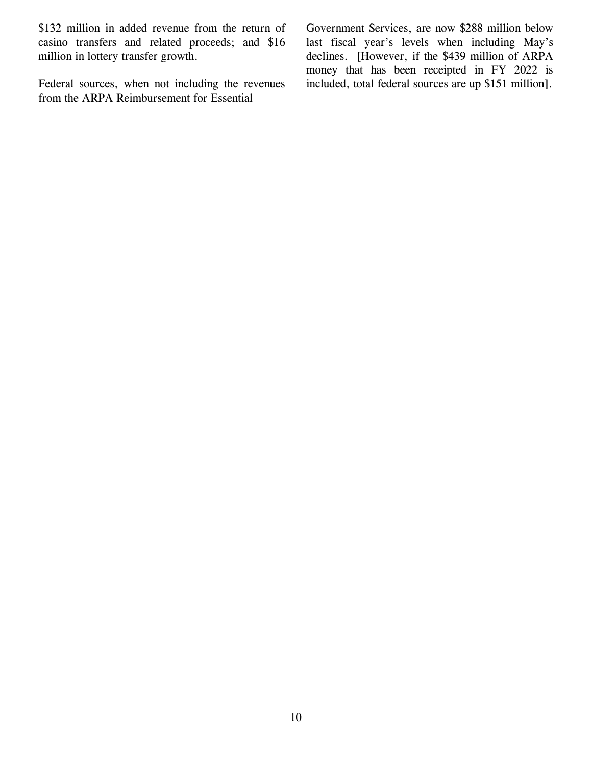\$132 million in added revenue from the return of casino transfers and related proceeds; and \$16 million in lottery transfer growth.

Federal sources, when not including the revenues from the ARPA Reimbursement for Essential

Government Services, are now \$288 million below last fiscal year's levels when including May's declines. [However, if the \$439 million of ARPA money that has been receipted in FY 2022 is included, total federal sources are up \$151 million].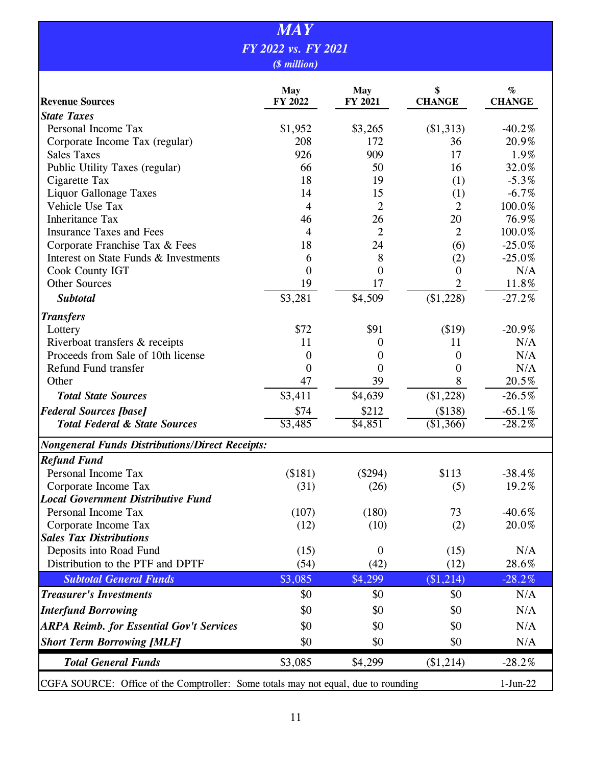|                                                                                    | <i><b>MAY</b></i>   |                  |                  |               |
|------------------------------------------------------------------------------------|---------------------|------------------|------------------|---------------|
|                                                                                    | FY 2022 vs. FY 2021 |                  |                  |               |
|                                                                                    |                     |                  |                  |               |
|                                                                                    | (\$ million)        |                  |                  |               |
|                                                                                    | <b>May</b>          | <b>May</b>       | \$               | $\%$          |
| <b>Revenue Sources</b>                                                             | FY 2022             | FY 2021          | <b>CHANGE</b>    | <b>CHANGE</b> |
| <b>State Taxes</b>                                                                 |                     |                  |                  |               |
| Personal Income Tax                                                                | \$1,952             | \$3,265          | (\$1,313)        | $-40.2%$      |
| Corporate Income Tax (regular)                                                     | 208                 | 172              | 36               | 20.9%         |
| <b>Sales Taxes</b>                                                                 | 926                 | 909              | 17               | 1.9%          |
| Public Utility Taxes (regular)                                                     | 66                  | 50               | 16               | 32.0%         |
| Cigarette Tax                                                                      | 18                  | 19               | (1)              | $-5.3%$       |
| <b>Liquor Gallonage Taxes</b>                                                      | 14                  | 15               | (1)              | $-6.7%$       |
| Vehicle Use Tax                                                                    | $\overline{4}$      | $\overline{2}$   | $\overline{2}$   | 100.0%        |
| <b>Inheritance Tax</b>                                                             | 46                  | 26               | 20               | 76.9%         |
| <b>Insurance Taxes and Fees</b>                                                    | 4                   | $\overline{2}$   | $\overline{2}$   | 100.0%        |
| Corporate Franchise Tax & Fees                                                     | 18                  | 24               | (6)              | $-25.0%$      |
| Interest on State Funds & Investments                                              | 6                   | 8                | (2)              | $-25.0%$      |
| Cook County IGT                                                                    | $\overline{0}$      | 0                | $\overline{0}$   | N/A           |
| <b>Other Sources</b>                                                               | 19                  | 17               | 2                | 11.8%         |
| <b>Subtotal</b>                                                                    | \$3,281             | \$4,509          | (\$1,228)        | $-27.2%$      |
| <b>Transfers</b>                                                                   |                     |                  |                  |               |
| Lottery                                                                            | \$72                | \$91             | \$19)            | $-20.9\%$     |
| Riverboat transfers & receipts                                                     | 11                  | $\Omega$         | 11               | N/A           |
| Proceeds from Sale of 10th license                                                 | $\overline{0}$      | $\theta$         | $\overline{0}$   | N/A           |
| Refund Fund transfer                                                               | $\boldsymbol{0}$    | $\boldsymbol{0}$ | $\boldsymbol{0}$ | N/A           |
| Other                                                                              | 47                  | 39               | 8                | 20.5%         |
| <b>Total State Sources</b>                                                         | \$3,411             | \$4,639          | (\$1,228)        | $-26.5%$      |
| <b>Federal Sources [base]</b>                                                      | \$74                | \$212            | (\$138)          | $-65.1%$      |
| <b>Total Federal &amp; State Sources</b>                                           | \$3,485             | \$4,851          | (\$1,366)        | $-28.2%$      |
|                                                                                    |                     |                  |                  |               |
| <b>Nongeneral Funds Distributions/Direct Receipts:</b>                             |                     |                  |                  |               |
| <b>Refund Fund</b><br>Personal Income Tax                                          | (\$181)             | $(\$294)$        | \$113            | $-38.4%$      |
| Corporate Income Tax                                                               | (31)                | (26)             | (5)              | 19.2%         |
| <b>Local Government Distributive Fund</b>                                          |                     |                  |                  |               |
| Personal Income Tax                                                                | (107)               | (180)            | 73               | $-40.6%$      |
| Corporate Income Tax                                                               | (12)                | (10)             | (2)              | 20.0%         |
| <b>Sales Tax Distributions</b>                                                     |                     |                  |                  |               |
| Deposits into Road Fund                                                            | (15)                | $\boldsymbol{0}$ | (15)             | N/A           |
| Distribution to the PTF and DPTF                                                   | (54)                | (42)             | (12)             | 28.6%         |
| <b>Subtotal General Funds</b>                                                      | \$3,085             | \$4,299          | (\$1,214)        | $-28.2%$      |
| <b>Treasurer's Investments</b>                                                     | \$0                 | \$0              | \$0              | N/A           |
| <b>Interfund Borrowing</b>                                                         | \$0                 | \$0              | \$0              | N/A           |
| <b>ARPA Reimb. for Essential Gov't Services</b>                                    | \$0                 | \$0              | \$0              | N/A           |
| <b>Short Term Borrowing [MLF]</b>                                                  | \$0                 | \$0              | \$0              | N/A           |
|                                                                                    |                     |                  |                  |               |
| <b>Total General Funds</b>                                                         | \$3,085             | \$4,299          | (\$1,214)        | $-28.2%$      |
| CGFA SOURCE: Office of the Comptroller: Some totals may not equal, due to rounding |                     |                  |                  | $1-Jun-22$    |